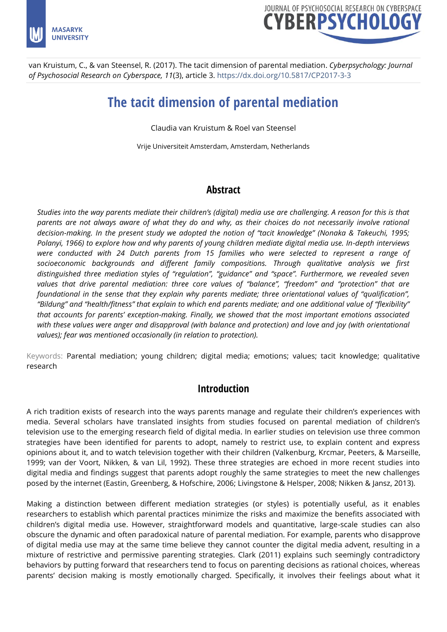



van Kruistum, C., & van Steensel, R. (2017). The tacit dimension of parental mediation. *Cyberpsychology: Journal of Psychosocial Research on Cyberspace, 11*(3), article 3.<https://dx.doi.org/10.5817/CP2017-3-3>

# **The tacit dimension of parental mediation**

Claudia van Kruistum & Roel van Steensel

Vrije Universiteit Amsterdam, Amsterdam, Netherlands

## **Abstract**

*Studies into the way parents mediate their children's (digital) media use are challenging. A reason for this is that parents are not always aware of what they do and why, as their choices do not necessarily involve rational decision-making. In the present study we adopted the notion of "tacit knowledge" (Nonaka & Takeuchi, 1995; Polanyi, 1966) to explore how and why parents of young children mediate digital media use. In-depth interviews were conducted with 24 Dutch parents from 15 families who were selected to represent a range of socioeconomic backgrounds and different family compositions. Through qualitative analysis we first distinguished three mediation styles of "regulation", "guidance" and "space". Furthermore, we revealed seven values that drive parental mediation: three core values of "balance", "freedom" and "protection" that are foundational in the sense that they explain why parents mediate; three orientational values of "qualification", "Bildung" and "health/fitness" that explain to which end parents mediate; and one additional value of "flexibility" that accounts for parents' exception-making. Finally, we showed that the most important emotions associated*  with these values were anger and disapproval (with balance and protection) and love and joy (with orientational *values); fear was mentioned occasionally (in relation to protection).*

Keywords: Parental mediation; young children; digital media; emotions; values; tacit knowledge; qualitative research

## **Introduction**

A rich tradition exists of research into the ways parents manage and regulate their children's experiences with media. Several scholars have translated insights from studies focused on parental mediation of children's television use to the emerging research field of digital media. In earlier studies on television use three common strategies have been identified for parents to adopt, namely to restrict use, to explain content and express opinions about it, and to watch television together with their children (Valkenburg, Krcmar, Peeters, & Marseille, 1999; van der Voort, Nikken, & van Lil, 1992). These three strategies are echoed in more recent studies into digital media and findings suggest that parents adopt roughly the same strategies to meet the new challenges posed by the internet (Eastin, Greenberg, & Hofschire, 2006; Livingstone & Helsper, 2008; Nikken & Jansz, 2013).

Making a distinction between different mediation strategies (or styles) is potentially useful, as it enables researchers to establish which parental practices minimize the risks and maximize the benefits associated with children's digital media use. However, straightforward models and quantitative, large-scale studies can also obscure the dynamic and often paradoxical nature of parental mediation. For example, parents who disapprove of digital media use may at the same time believe they cannot counter the digital media advent, resulting in a mixture of restrictive and permissive parenting strategies. Clark (2011) explains such seemingly contradictory behaviors by putting forward that researchers tend to focus on parenting decisions as rational choices, whereas parents' decision making is mostly emotionally charged. Specifically, it involves their feelings about what it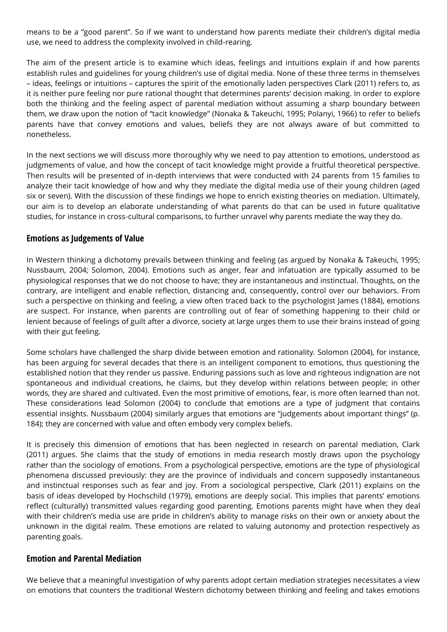means to be a "good parent". So if we want to understand how parents mediate their children's digital media use, we need to address the complexity involved in child-rearing.

The aim of the present article is to examine which ideas, feelings and intuitions explain if and how parents establish rules and guidelines for young children's use of digital media. None of these three terms in themselves – ideas, feelings or intuitions – captures the spirit of the emotionally laden perspectives Clark (2011) refers to, as it is neither pure feeling nor pure rational thought that determines parents' decision making. In order to explore both the thinking and the feeling aspect of parental mediation without assuming a sharp boundary between them, we draw upon the notion of "tacit knowledge" (Nonaka & Takeuchi, 1995; Polanyi, 1966) to refer to beliefs parents have that convey emotions and values, beliefs they are not always aware of but committed to nonetheless.

In the next sections we will discuss more thoroughly why we need to pay attention to emotions, understood as judgmements of value, and how the concept of tacit knowledge might provide a fruitful theoretical perspective. Then results will be presented of in-depth interviews that were conducted with 24 parents from 15 families to analyze their tacit knowledge of how and why they mediate the digital media use of their young children (aged six or seven). With the discussion of these findings we hope to enrich existing theories on mediation. Ultimately, our aim is to develop an elaborate understanding of what parents do that can be used in future qualitative studies, for instance in cross-cultural comparisons, to further unravel why parents mediate the way they do.

#### **Emotions as Judgements of Value**

In Western thinking a dichotomy prevails between thinking and feeling (as argued by Nonaka & Takeuchi, 1995; Nussbaum, 2004; Solomon, 2004). Emotions such as anger, fear and infatuation are typically assumed to be physiological responses that we do not choose to have; they are instantaneous and instinctual. Thoughts, on the contrary, are intelligent and enable reflection, distancing and, consequently, control over our behaviors. From such a perspective on thinking and feeling, a view often traced back to the psychologist James (1884), emotions are suspect. For instance, when parents are controlling out of fear of something happening to their child or lenient because of feelings of guilt after a divorce, society at large urges them to use their brains instead of going with their gut feeling.

Some scholars have challenged the sharp divide between emotion and rationality. Solomon (2004), for instance, has been arguing for several decades that there is an intelligent component to emotions, thus questioning the established notion that they render us passive. Enduring passions such as love and righteous indignation are not spontaneous and individual creations, he claims, but they develop within relations between people; in other words, they are shared and cultivated. Even the most primitive of emotions, fear, is more often learned than not. These considerations lead Solomon (2004) to conclude that emotions are a type of judgment that contains essential insights. Nussbaum (2004) similarly argues that emotions are "judgements about important things" (p. 184); they are concerned with value and often embody very complex beliefs.

It is precisely this dimension of emotions that has been neglected in research on parental mediation, Clark (2011) argues. She claims that the study of emotions in media research mostly draws upon the psychology rather than the sociology of emotions. From a psychological perspective, emotions are the type of physiological phenomena discussed previously: they are the province of individuals and concern supposedly instantaneous and instinctual responses such as fear and joy. From a sociological perspective, Clark (2011) explains on the basis of ideas developed by Hochschild (1979), emotions are deeply social. This implies that parents' emotions reflect (culturally) transmitted values regarding good parenting. Emotions parents might have when they deal with their children's media use are pride in children's ability to manage risks on their own or anxiety about the unknown in the digital realm. These emotions are related to valuing autonomy and protection respectively as parenting goals.

#### **Emotion and Parental Mediation**

We believe that a meaningful investigation of why parents adopt certain mediation strategies necessitates a view on emotions that counters the traditional Western dichotomy between thinking and feeling and takes emotions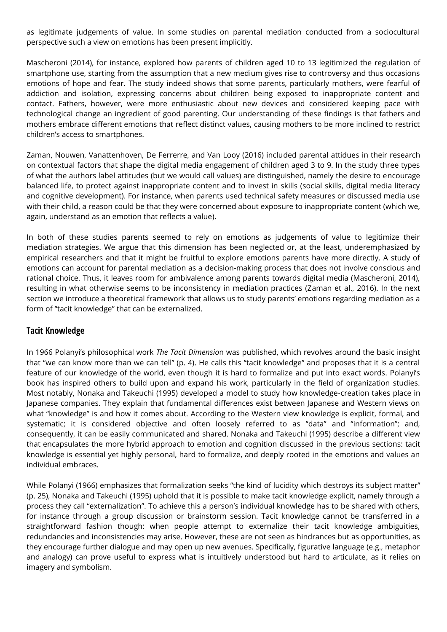as legitimate judgements of value. In some studies on parental mediation conducted from a sociocultural perspective such a view on emotions has been present implicitly.

Mascheroni (2014), for instance, explored how parents of children aged 10 to 13 legitimized the regulation of smartphone use, starting from the assumption that a new medium gives rise to controversy and thus occasions emotions of hope and fear. The study indeed shows that some parents, particularly mothers, were fearful of addiction and isolation, expressing concerns about children being exposed to inappropriate content and contact. Fathers, however, were more enthusiastic about new devices and considered keeping pace with technological change an ingredient of good parenting. Our understanding of these findings is that fathers and mothers embrace different emotions that reflect distinct values, causing mothers to be more inclined to restrict children's access to smartphones.

Zaman, Nouwen, Vanattenhoven, De Ferrerre, and Van Looy (2016) included parental attidues in their research on contextual factors that shape the digital media engagement of children aged 3 to 9. In the study three types of what the authors label attitudes (but we would call values) are distinguished, namely the desire to encourage balanced life, to protect against inappropriate content and to invest in skills (social skills, digital media literacy and cognitive development). For instance, when parents used technical safety measures or discussed media use with their child, a reason could be that they were concerned about exposure to inappropriate content (which we, again, understand as an emotion that reflects a value).

In both of these studies parents seemed to rely on emotions as judgements of value to legitimize their mediation strategies. We argue that this dimension has been neglected or, at the least, underemphasized by empirical researchers and that it might be fruitful to explore emotions parents have more directly. A study of emotions can account for parental mediation as a decision-making process that does not involve conscious and rational choice. Thus, it leaves room for ambivalence among parents towards digital media (Mascheroni, 2014), resulting in what otherwise seems to be inconsistency in mediation practices (Zaman et al., 2016). In the next section we introduce a theoretical framework that allows us to study parents' emotions regarding mediation as a form of "tacit knowledge" that can be externalized.

#### **Tacit Knowledge**

In 1966 Polanyi's philosophical work *The Tacit Dimensio*n was published, which revolves around the basic insight that "we can know more than we can tell" (p. 4). He calls this "tacit knowledge" and proposes that it is a central feature of our knowledge of the world, even though it is hard to formalize and put into exact words. Polanyi's book has inspired others to build upon and expand his work, particularly in the field of organization studies. Most notably, Nonaka and Takeuchi (1995) developed a model to study how knowledge-creation takes place in Japanese companies. They explain that fundamental differences exist between Japanese and Western views on what "knowledge" is and how it comes about. According to the Western view knowledge is explicit, formal, and systematic; it is considered objective and often loosely referred to as "data" and "information"; and, consequently, it can be easily communicated and shared. Nonaka and Takeuchi (1995) describe a different view that encapsulates the more hybrid approach to emotion and cognition discussed in the previous sections: tacit knowledge is essential yet highly personal, hard to formalize, and deeply rooted in the emotions and values an individual embraces.

While Polanyi (1966) emphasizes that formalization seeks "the kind of lucidity which destroys its subject matter" (p. 25), Nonaka and Takeuchi (1995) uphold that it is possible to make tacit knowledge explicit, namely through a process they call "externalization". To achieve this a person's individual knowledge has to be shared with others, for instance through a group discussion or brainstorm session. Tacit knowledge cannot be transferred in a straightforward fashion though: when people attempt to externalize their tacit knowledge ambiguities, redundancies and inconsistencies may arise. However, these are not seen as hindrances but as opportunities, as they encourage further dialogue and may open up new avenues. Specifically, figurative language (e.g., metaphor and analogy) can prove useful to express what is intuitively understood but hard to articulate, as it relies on imagery and symbolism.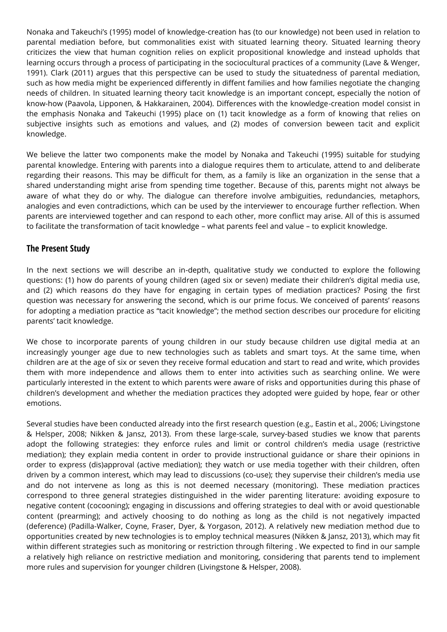Nonaka and Takeuchi's (1995) model of knowledge-creation has (to our knowledge) not been used in relation to parental mediation before, but commonalities exist with situated learning theory. Situated learning theory criticizes the view that human cognition relies on explicit propositional knowledge and instead upholds that learning occurs through a process of participating in the sociocultural practices of a community (Lave & Wenger, 1991). Clark (2011) argues that this perspective can be used to study the situatedness of parental mediation, such as how media might be experienced differently in diffent families and how families negotiate the changing needs of children. In situated learning theory tacit knowledge is an important concept, especially the notion of know-how (Paavola, Lipponen, & Hakkarainen, 2004). Differences with the knowledge-creation model consist in the emphasis Nonaka and Takeuchi (1995) place on (1) tacit knowledge as a form of knowing that relies on subjective insights such as emotions and values, and (2) modes of conversion beween tacit and explicit knowledge.

We believe the latter two components make the model by Nonaka and Takeuchi (1995) suitable for studying parental knowledge. Entering with parents into a dialogue requires them to articulate, attend to and deliberate regarding their reasons. This may be difficult for them, as a family is like an organization in the sense that a shared understanding might arise from spending time together. Because of this, parents might not always be aware of what they do or why. The dialogue can therefore involve ambiguities, redundancies, metaphors, analogies and even contradictions, which can be used by the interviewer to encourage further reflection. When parents are interviewed together and can respond to each other, more conflict may arise. All of this is assumed to facilitate the transformation of tacit knowledge – what parents feel and value – to explicit knowledge.

#### **The Present Study**

In the next sections we will describe an in-depth, qualitative study we conducted to explore the following questions: (1) how do parents of young children (aged six or seven) mediate their children's digital media use, and (2) which reasons do they have for engaging in certain types of mediation practices? Posing the first question was necessary for answering the second, which is our prime focus. We conceived of parents' reasons for adopting a mediation practice as "tacit knowledge"; the method section describes our procedure for eliciting parents' tacit knowledge.

We chose to incorporate parents of young children in our study because children use digital media at an increasingly younger age due to new technologies such as tablets and smart toys. At the same time, when children are at the age of six or seven they receive formal education and start to read and write, which provides them with more independence and allows them to enter into activities such as searching online. We were particularly interested in the extent to which parents were aware of risks and opportunities during this phase of children's development and whether the mediation practices they adopted were guided by hope, fear or other emotions.

Several studies have been conducted already into the first research question (e.g., Eastin et al., 2006; Livingstone & Helsper, 2008; Nikken & Jansz, 2013). From these large-scale, survey-based studies we know that parents adopt the following strategies: they enforce rules and limit or control children's media usage (restrictive mediation); they explain media content in order to provide instructional guidance or share their opinions in order to express (dis)approval (active mediation); they watch or use media together with their children, often driven by a common interest, which may lead to discussions (co-use); they supervise their children's media use and do not intervene as long as this is not deemed necessary (monitoring). These mediation practices correspond to three general strategies distinguished in the wider parenting literature: avoiding exposure to negative content (cocooning); engaging in discussions and offering strategies to deal with or avoid questionable content (prearming); and actively choosing to do nothing as long as the child is not negatively impacted (deference) (Padilla-Walker, Coyne, Fraser, Dyer, & Yorgason, 2012). A relatively new mediation method due to opportunities created by new technologies is to employ technical measures (Nikken & Jansz, 2013), which may fit within different strategies such as monitoring or restriction through filtering . We expected to find in our sample a relatively high reliance on restrictive mediation and monitoring, considering that parents tend to implement more rules and supervision for younger children (Livingstone & Helsper, 2008).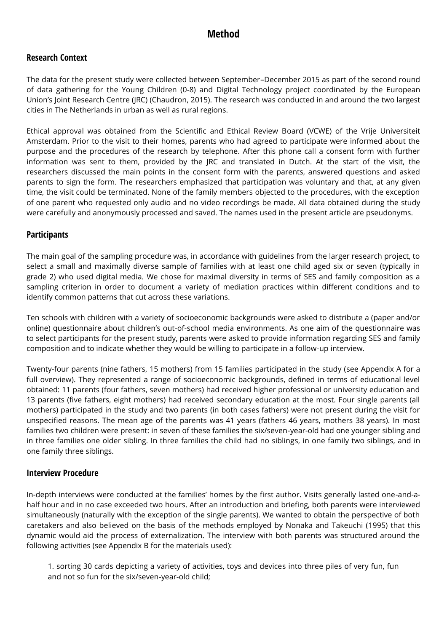# **Method**

### **Research Context**

The data for the present study were collected between September–December 2015 as part of the second round of data gathering for the Young Children (0-8) and Digital Technology project coordinated by the European Union's Joint Research Centre (JRC) (Chaudron, 2015). The research was conducted in and around the two largest cities in The Netherlands in urban as well as rural regions.

Ethical approval was obtained from the Scientific and Ethical Review Board (VCWE) of the Vrije Universiteit Amsterdam. Prior to the visit to their homes, parents who had agreed to participate were informed about the purpose and the procedures of the research by telephone. After this phone call a consent form with further information was sent to them, provided by the JRC and translated in Dutch. At the start of the visit, the researchers discussed the main points in the consent form with the parents, answered questions and asked parents to sign the form. The researchers emphasized that participation was voluntary and that, at any given time, the visit could be terminated. None of the family members objected to the procedures, with the exception of one parent who requested only audio and no video recordings be made. All data obtained during the study were carefully and anonymously processed and saved. The names used in the present article are pseudonyms.

#### **Participants**

The main goal of the sampling procedure was, in accordance with guidelines from the larger research project, to select a small and maximally diverse sample of families with at least one child aged six or seven (typically in grade 2) who used digital media. We chose for maximal diversity in terms of SES and family composition as a sampling criterion in order to document a variety of mediation practices within different conditions and to identify common patterns that cut across these variations.

Ten schools with children with a variety of socioeconomic backgrounds were asked to distribute a (paper and/or online) questionnaire about children's out-of-school media environments. As one aim of the questionnaire was to select participants for the present study, parents were asked to provide information regarding SES and family composition and to indicate whether they would be willing to participate in a follow-up interview.

Twenty-four parents (nine fathers, 15 mothers) from 15 families participated in the study (see Appendix A for a full overview). They represented a range of socioeconomic backgrounds, defined in terms of educational level obtained: 11 parents (four fathers, seven mothers) had received higher professional or university education and 13 parents (five fathers, eight mothers) had received secondary education at the most. Four single parents (all mothers) participated in the study and two parents (in both cases fathers) were not present during the visit for unspecified reasons. The mean age of the parents was 41 years (fathers 46 years, mothers 38 years). In most families two children were present: in seven of these families the six/seven-year-old had one younger sibling and in three families one older sibling. In three families the child had no siblings, in one family two siblings, and in one family three siblings.

#### **Interview Procedure**

In-depth interviews were conducted at the families' homes by the first author. Visits generally lasted one-and-ahalf hour and in no case exceeded two hours. After an introduction and briefing, both parents were interviewed simultaneously (naturally with the exception of the single parents). We wanted to obtain the perspective of both caretakers and also believed on the basis of the methods employed by Nonaka and Takeuchi (1995) that this dynamic would aid the process of externalization. The interview with both parents was structured around the following activities (see Appendix B for the materials used):

1. sorting 30 cards depicting a variety of activities, toys and devices into three piles of very fun, fun and not so fun for the six/seven-year-old child;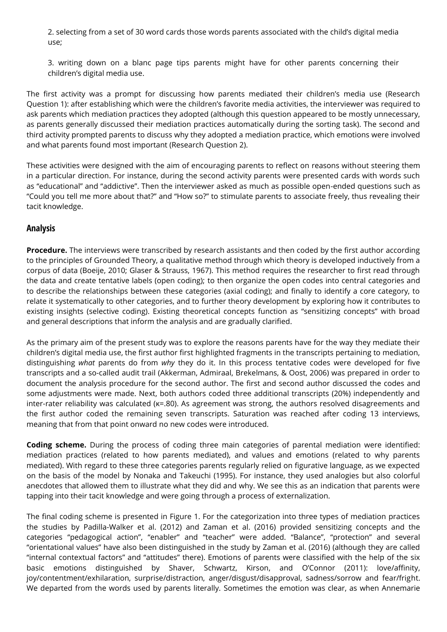2. selecting from a set of 30 word cards those words parents associated with the child's digital media use;

3. writing down on a blanc page tips parents might have for other parents concerning their children's digital media use.

The first activity was a prompt for discussing how parents mediated their children's media use (Research Question 1): after establishing which were the children's favorite media activities, the interviewer was required to ask parents which mediation practices they adopted (although this question appeared to be mostly unnecessary, as parents generally discussed their mediation practices automatically during the sorting task). The second and third activity prompted parents to discuss why they adopted a mediation practice, which emotions were involved and what parents found most important (Research Question 2).

These activities were designed with the aim of encouraging parents to reflect on reasons without steering them in a particular direction. For instance, during the second activity parents were presented cards with words such as "educational" and "addictive". Then the interviewer asked as much as possible open-ended questions such as "Could you tell me more about that?" and "How so?" to stimulate parents to associate freely, thus revealing their tacit knowledge.

### **Analysis**

**Procedure.** The interviews were transcribed by research assistants and then coded by the first author according to the principles of Grounded Theory, a qualitative method through which theory is developed inductively from a corpus of data (Boeije, 2010; Glaser & Strauss, 1967). This method requires the researcher to first read through the data and create tentative labels (open coding); to then organize the open codes into central categories and to describe the relationships between these categories (axial coding); and finally to identify a core category, to relate it systematically to other categories, and to further theory development by exploring how it contributes to existing insights (selective coding). Existing theoretical concepts function as "sensitizing concepts" with broad and general descriptions that inform the analysis and are gradually clarified.

As the primary aim of the present study was to explore the reasons parents have for the way they mediate their children's digital media use, the first author first highlighted fragments in the transcripts pertaining to mediation, distinguishing *what* parents do from *why* they do it. In this process tentative codes were developed for five transcripts and a so-called audit trail (Akkerman, Admiraal, Brekelmans, & Oost, 2006) was prepared in order to document the analysis procedure for the second author. The first and second author discussed the codes and some adjustments were made. Next, both authors coded three additional transcripts (20%) independently and inter-rater reliability was calculated (κ=.80). As agreement was strong, the authors resolved disagreements and the first author coded the remaining seven transcripts. Saturation was reached after coding 13 interviews, meaning that from that point onward no new codes were introduced.

**Coding scheme.** During the process of coding three main categories of parental mediation were identified: mediation practices (related to how parents mediated), and values and emotions (related to why parents mediated). With regard to these three categories parents regularly relied on figurative language, as we expected on the basis of the model by Nonaka and Takeuchi (1995). For instance, they used analogies but also colorful anecdotes that allowed them to illustrate what they did and why. We see this as an indication that parents were tapping into their tacit knowledge and were going through a process of externalization.

The final coding scheme is presented in Figure 1. For the categorization into three types of mediation practices the studies by Padilla-Walker et al. (2012) and Zaman et al. (2016) provided sensitizing concepts and the categories "pedagogical action", "enabler" and "teacher" were added. "Balance", "protection" and several "orientational values" have also been distinguished in the study by Zaman et al. (2016) (although they are called "internal contextual factors" and "attitudes" there). Emotions of parents were classified with the help of the six basic emotions distinguished by Shaver, Schwartz, Kirson, and O'Connor (2011): love/affinity, joy/contentment/exhilaration, surprise/distraction, anger/disgust/disapproval, sadness/sorrow and fear/fright. We departed from the words used by parents literally. Sometimes the emotion was clear, as when Annemarie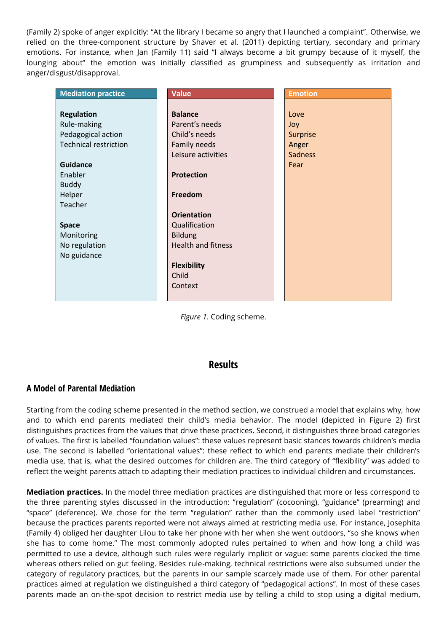(Family 2) spoke of anger explicitly: "At the library I became so angry that I launched a complaint". Otherwise, we relied on the three-component structure by Shaver et al. (2011) depicting tertiary, secondary and primary emotions. For instance, when Jan (Family 11) said "I always become a bit grumpy because of it myself, the lounging about" the emotion was initially classified as grumpiness and subsequently as irritation and anger/disgust/disapproval.

| <b>Mediation practice</b>    | <b>Value</b>              | <b>Emotion</b> |
|------------------------------|---------------------------|----------------|
|                              |                           |                |
| <b>Regulation</b>            | <b>Balance</b>            | Love           |
| Rule-making                  | Parent's needs            | Joy            |
| Pedagogical action           | Child's needs             | Surprise       |
| <b>Technical restriction</b> | Family needs              | Anger          |
|                              | Leisure activities        | <b>Sadness</b> |
| <b>Guidance</b>              |                           | Fear           |
| Enabler                      | <b>Protection</b>         |                |
| <b>Buddy</b>                 |                           |                |
| Helper                       | Freedom                   |                |
| Teacher                      |                           |                |
|                              | <b>Orientation</b>        |                |
| <b>Space</b>                 | Qualification             |                |
| Monitoring                   | <b>Bildung</b>            |                |
| No regulation                | <b>Health and fitness</b> |                |
| No guidance                  |                           |                |
|                              | <b>Flexibility</b>        |                |
|                              | Child                     |                |
|                              | Context                   |                |
|                              |                           |                |

*Figure 1*. Coding scheme.

#### **Results**

#### **A Model of Parental Mediation**

Starting from the coding scheme presented in the method section, we construed a model that explains why, how and to which end parents mediated their child's media behavior. The model (depicted in Figure 2) first distinguishes practices from the values that drive these practices. Second, it distinguishes three broad categories of values. The first is labelled "foundation values": these values represent basic stances towards children's media use. The second is labelled "orientational values": these reflect to which end parents mediate their children's media use, that is, what the desired outcomes for children are. The third category of "flexibility" was added to reflect the weight parents attach to adapting their mediation practices to individual children and circumstances.

**Mediation practices.** In the model three mediation practices are distinguished that more or less correspond to the three parenting styles discussed in the introduction: "regulation" (cocooning), "guidance" (prearming) and "space" (deference). We chose for the term "regulation" rather than the commonly used label "restriction" because the practices parents reported were not always aimed at restricting media use. For instance, Josephita (Family 4) obliged her daughter Lilou to take her phone with her when she went outdoors, "so she knows when she has to come home." The most commonly adopted rules pertained to when and how long a child was permitted to use a device, although such rules were regularly implicit or vague: some parents clocked the time whereas others relied on gut feeling. Besides rule-making, technical restrictions were also subsumed under the category of regulatory practices, but the parents in our sample scarcely made use of them. For other parental practices aimed at regulation we distinguished a third category of "pedagogical actions". In most of these cases parents made an on-the-spot decision to restrict media use by telling a child to stop using a digital medium,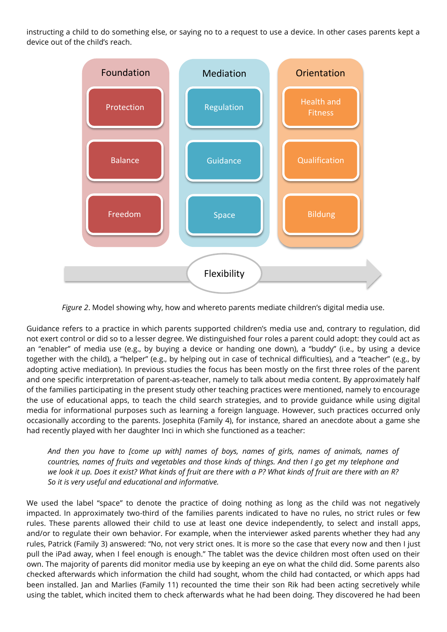instructing a child to do something else, or saying no to a request to use a device. In other cases parents kept a device out of the child's reach.



*Figure 2*. Model showing why, how and whereto parents mediate children's digital media use.

Guidance refers to a practice in which parents supported children's media use and, contrary to regulation, did not exert control or did so to a lesser degree. We distinguished four roles a parent could adopt: they could act as an "enabler" of media use (e.g., by buying a device or handing one down), a "buddy" (i.e., by using a device together with the child), a "helper" (e.g., by helping out in case of technical difficulties), and a "teacher" (e.g., by adopting active mediation). In previous studies the focus has been mostly on the first three roles of the parent and one specific interpretation of parent-as-teacher, namely to talk about media content. By approximately half of the families participating in the present study other teaching practices were mentioned, namely to encourage the use of educational apps, to teach the child search strategies, and to provide guidance while using digital media for informational purposes such as learning a foreign language. However, such practices occurred only occasionally according to the parents. Josephita (Family 4), for instance, shared an anecdote about a game she had recently played with her daughter Inci in which she functioned as a teacher:

*And then you have to [come up with] names of boys, names of girls, names of animals, names of countries, names of fruits and vegetables and those kinds of things. And then I go get my telephone and we look it up. Does it exist? What kinds of fruit are there with a P? What kinds of fruit are there with an R? So it is very useful and educational and informative.*

We used the label "space" to denote the practice of doing nothing as long as the child was not negatively impacted. In approximately two-third of the families parents indicated to have no rules, no strict rules or few rules. These parents allowed their child to use at least one device independently, to select and install apps, and/or to regulate their own behavior. For example, when the interviewer asked parents whether they had any rules, Patrick (Family 3) answered: "No, not very strict ones. It is more so the case that every now and then I just pull the iPad away, when I feel enough is enough." The tablet was the device children most often used on their own. The majority of parents did monitor media use by keeping an eye on what the child did. Some parents also checked afterwards which information the child had sought, whom the child had contacted, or which apps had been installed. Jan and Marlies (Family 11) recounted the time their son Rik had been acting secretively while using the tablet, which incited them to check afterwards what he had been doing. They discovered he had been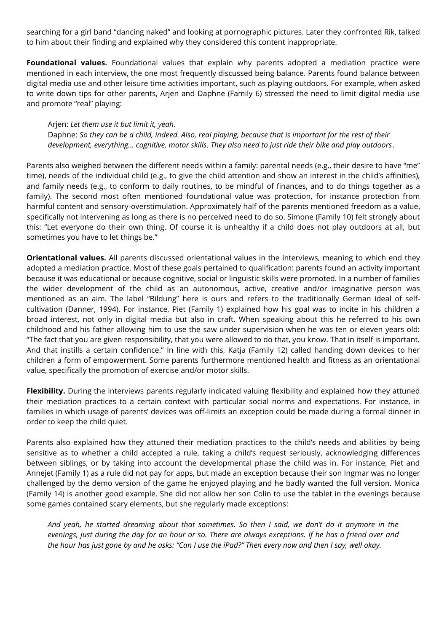searching for a girl band "dancing naked" and looking at pornographic pictures. Later they confronted Rik, talked to him about their finding and explained why they considered this content inappropriate.

**Foundational values.** Foundational values that explain why parents adopted a mediation practice were mentioned in each interview, the one most frequently discussed being balance. Parents found balance between digital media use and other leisure time activities important, such as playing outdoors. For example, when asked to write down tips for other parents, Arjen and Daphne (Family 6) stressed the need to limit digital media use and promote "real" playing:

#### Arjen: *Let them use it but limit it, yeah*.

Daphne: *So they can be a child, indeed. Also, real playing, because that is important for the rest of their development, everything… cognitive, motor skills. They also need to just ride their bike and play outdoors*.

Parents also weighed between the different needs within a family: parental needs (e.g., their desire to have "me" time), needs of the individual child (e.g., to give the child attention and show an interest in the child's affinities), and family needs (e.g., to conform to daily routines, to be mindful of finances, and to do things together as a family). The second most often mentioned foundational value was protection, for instance protection from harmful content and sensory-overstimulation. Approximately half of the parents mentioned freedom as a value, specifically not intervening as long as there is no perceived need to do so. Simone (Family 10) felt strongly about this: "Let everyone do their own thing. Of course it is unhealthy if a child does not play outdoors at all, but sometimes you have to let things be."

**Orientational values.** All parents discussed orientational values in the interviews, meaning to which end they adopted a mediation practice. Most of these goals pertained to qualification: parents found an activity important because it was educational or because cognitive, social or linguistic skills were promoted. In a number of families the wider development of the child as an autonomous, active, creative and/or imaginative person was mentioned as an aim. The label "Bildung" here is ours and refers to the traditionally German ideal of selfcultivation (Danner, 1994). For instance, Piet (Family 1) explained how his goal was to incite in his children a broad interest, not only in digital media but also in craft. When speaking about this he referred to his own childhood and his father allowing him to use the saw under supervision when he was ten or eleven years old: "The fact that you are given responsibility, that you were allowed to do that, you know. That in itself is important. And that instills a certain confidence." In line with this, Katja (Family 12) called handing down devices to her children a form of empowerment. Some parents furthermore mentioned health and fitness as an orientational value, specifically the promotion of exercise and/or motor skills.

**Flexibility.** During the interviews parents regularly indicated valuing flexibility and explained how they attuned their mediation practices to a certain context with particular social norms and expectations. For instance, in families in which usage of parents' devices was off-limits an exception could be made during a formal dinner in order to keep the child quiet.

Parents also explained how they attuned their mediation practices to the child's needs and abilities by being sensitive as to whether a child accepted a rule, taking a child's request seriously, acknowledging differences between siblings, or by taking into account the developmental phase the child was in. For instance, Piet and Annejet (Family 1) as a rule did not pay for apps, but made an exception because their son Ingmar was no longer challenged by the demo version of the game he enjoyed playing and he badly wanted the full version. Monica (Family 14) is another good example. She did not allow her son Colin to use the tablet in the evenings because some games contained scary elements, but she regularly made exceptions:

*And yeah, he started dreaming about that sometimes. So then I said, we don't do it anymore in the evenings, just during the day for an hour or so. There are always exceptions. If he has a friend over and the hour has just gone by and he asks: "Can I use the iPad?" Then every now and then I say, well okay.*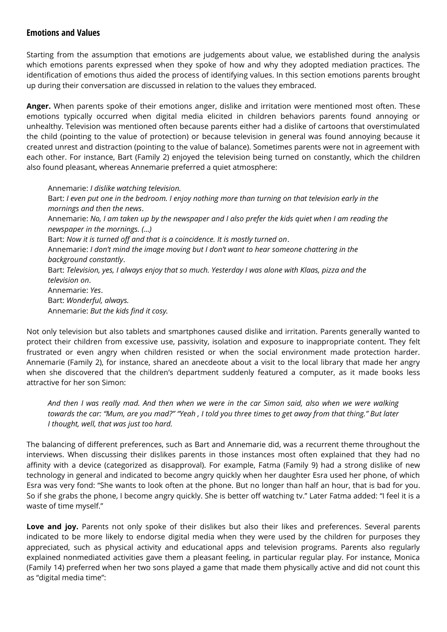#### **Emotions and Values**

Starting from the assumption that emotions are judgements about value, we established during the analysis which emotions parents expressed when they spoke of how and why they adopted mediation practices. The identification of emotions thus aided the process of identifying values. In this section emotions parents brought up during their conversation are discussed in relation to the values they embraced.

**Anger.** When parents spoke of their emotions anger, dislike and irritation were mentioned most often. These emotions typically occurred when digital media elicited in children behaviors parents found annoying or unhealthy. Television was mentioned often because parents either had a dislike of cartoons that overstimulated the child (pointing to the value of protection) or because television in general was found annoying because it created unrest and distraction (pointing to the value of balance). Sometimes parents were not in agreement with each other. For instance, Bart (Family 2) enjoyed the television being turned on constantly, which the children also found pleasant, whereas Annemarie preferred a quiet atmosphere:

Annemarie: *I dislike watching television.* Bart: *I even put one in the bedroom. I enjoy nothing more than turning on that television early in the mornings and then the news*. Annemarie: *No, I am taken up by the newspaper and I also prefer the kids quiet when I am reading the newspaper in the mornings. (…)* Bart: *Now it is turned off and that is a coincidence. It is mostly turned on*. Annemarie: *I don't mind the image moving but I don't want to hear someone chattering in the background constantly*. Bart: *Television, yes, I always enjoy that so much. Yesterday I was alone with Klaas, pizza and the television on*. Annemarie: *Yes*. Bart: *Wonderful, always.* Annemarie: *But the kids find it cosy.*

Not only television but also tablets and smartphones caused dislike and irritation. Parents generally wanted to protect their children from excessive use, passivity, isolation and exposure to inappropriate content. They felt frustrated or even angry when children resisted or when the social environment made protection harder. Annemarie (Family 2), for instance, shared an anecdeote about a visit to the local library that made her angry when she discovered that the children's department suddenly featured a computer, as it made books less attractive for her son Simon:

*And then I was really mad. And then when we were in the car Simon said, also when we were walking towards the car: "Mum, are you mad?" "Yeah , I told you three times to get away from that thing." But later I thought, well, that was just too hard.*

The balancing of different preferences, such as Bart and Annemarie did, was a recurrent theme throughout the interviews. When discussing their dislikes parents in those instances most often explained that they had no affinity with a device (categorized as disapproval). For example, Fatma (Family 9) had a strong dislike of new technology in general and indicated to become angry quickly when her daughter Esra used her phone, of which Esra was very fond: "She wants to look often at the phone. But no longer than half an hour, that is bad for you. So if she grabs the phone, I become angry quickly. She is better off watching tv." Later Fatma added: "I feel it is a waste of time myself."

**Love and joy.** Parents not only spoke of their dislikes but also their likes and preferences. Several parents indicated to be more likely to endorse digital media when they were used by the children for purposes they appreciated, such as physical activity and educational apps and television programs. Parents also regularly explained nonmediated activities gave them a pleasant feeling, in particular regular play. For instance, Monica (Family 14) preferred when her two sons played a game that made them physically active and did not count this as "digital media time":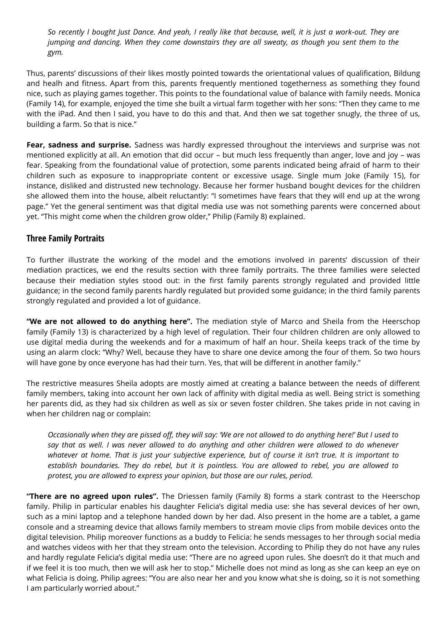*So recently I bought Just Dance. And yeah, I really like that because, well, it is just a work-out. They are jumping and dancing. When they come downstairs they are all sweaty, as though you sent them to the gym.* 

Thus, parents' discussions of their likes mostly pointed towards the orientational values of qualification, Bildung and healh and fitness. Apart from this, parents frequently mentioned togetherness as something they found nice, such as playing games together. This points to the foundational value of balance with family needs. Monica (Family 14), for example, enjoyed the time she built a virtual farm together with her sons: "Then they came to me with the iPad. And then I said, you have to do this and that. And then we sat together snugly, the three of us, building a farm. So that is nice."

**Fear, sadness and surprise.** Sadness was hardly expressed throughout the interviews and surprise was not mentioned explicitly at all. An emotion that did occur – but much less frequently than anger, love and joy – was fear. Speaking from the foundational value of protection, some parents indicated being afraid of harm to their children such as exposure to inappropriate content or excessive usage. Single mum Joke (Family 15), for instance, disliked and distrusted new technology. Because her former husband bought devices for the children she allowed them into the house, albeit reluctantly: "I sometimes have fears that they will end up at the wrong page." Yet the general sentiment was that digital media use was not something parents were concerned about yet. "This might come when the children grow older," Philip (Family 8) explained.

### **Three Family Portraits**

To further illustrate the working of the model and the emotions involved in parents' discussion of their mediation practices, we end the results section with three family portraits. The three families were selected because their mediation styles stood out: in the first family parents strongly regulated and provided little guidance; in the second family parents hardly regulated but provided some guidance; in the third family parents strongly regulated and provided a lot of guidance.

**"We are not allowed to do anything here".** The mediation style of Marco and Sheila from the Heerschop family (Family 13) is characterized by a high level of regulation. Their four children children are only allowed to use digital media during the weekends and for a maximum of half an hour. Sheila keeps track of the time by using an alarm clock: "Why? Well, because they have to share one device among the four of them. So two hours will have gone by once everyone has had their turn. Yes, that will be different in another family."

The restrictive measures Sheila adopts are mostly aimed at creating a balance between the needs of different family members, taking into account her own lack of affinity with digital media as well. Being strict is something her parents did, as they had six children as well as six or seven foster children. She takes pride in not caving in when her children nag or complain:

*Occasionally when they are pissed off, they will say: 'We are not allowed to do anything here!' But I used to say that as well. I was never allowed to do anything and other children were allowed to do whenever whatever at home. That is just your subjective experience, but of course it isn't true. It is important to establish boundaries. They do rebel, but it is pointless. You are allowed to rebel, you are allowed to protest, you are allowed to express your opinion, but those are our rules, period.*

**"There are no agreed upon rules".** The Driessen family (Family 8) forms a stark contrast to the Heerschop family. Philip in particular enables his daughter Felicia's digital media use: she has several devices of her own, such as a mini laptop and a telephone handed down by her dad. Also present in the home are a tablet, a game console and a streaming device that allows family members to stream movie clips from mobile devices onto the digital television. Philip moreover functions as a buddy to Felicia: he sends messages to her through social media and watches videos with her that they stream onto the television. According to Philip they do not have any rules and hardly regulate Felicia's digital media use: "There are no agreed upon rules. She doesn't do it that much and if we feel it is too much, then we will ask her to stop." Michelle does not mind as long as she can keep an eye on what Felicia is doing. Philip agrees: "You are also near her and you know what she is doing, so it is not something I am particularly worried about."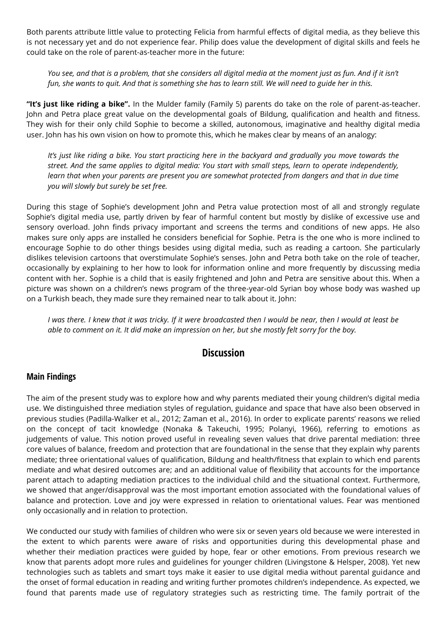Both parents attribute little value to protecting Felicia from harmful effects of digital media, as they believe this is not necessary yet and do not experience fear. Philip does value the development of digital skills and feels he could take on the role of parent-as-teacher more in the future:

*You see, and that is a problem, that she considers all digital media at the moment just as fun. And if it isn't fun, she wants to quit. And that is something she has to learn still. We will need to guide her in this.*

**"It's just like riding a bike".** In the Mulder family (Family 5) parents do take on the role of parent-as-teacher. John and Petra place great value on the developmental goals of Bildung, qualification and health and fitness. They wish for their only child Sophie to become a skilled, autonomous, imaginative and healthy digital media user. John has his own vision on how to promote this, which he makes clear by means of an analogy:

*It's just like riding a bike. You start practicing here in the backyard and gradually you move towards the street. And the same applies to digital media: You start with small steps, learn to operate independently, learn that when your parents are present you are somewhat protected from dangers and that in due time you will slowly but surely be set free.* 

During this stage of Sophie's development John and Petra value protection most of all and strongly regulate Sophie's digital media use, partly driven by fear of harmful content but mostly by dislike of excessive use and sensory overload. John finds privacy important and screens the terms and conditions of new apps. He also makes sure only apps are installed he considers beneficial for Sophie. Petra is the one who is more inclined to encourage Sophie to do other things besides using digital media, such as reading a cartoon. She particularly dislikes television cartoons that overstimulate Sophie's senses. John and Petra both take on the role of teacher, occasionally by explaining to her how to look for information online and more frequently by discussing media content with her. Sophie is a child that is easily frightened and John and Petra are sensitive about this. When a picture was shown on a children's news program of the three-year-old Syrian boy whose body was washed up on a Turkish beach, they made sure they remained near to talk about it. John:

*I was there. I knew that it was tricky. If it were broadcasted then I would be near, then I would at least be able to comment on it. It did make an impression on her, but she mostly felt sorry for the boy.*

## **Discussion**

#### **Main Findings**

The aim of the present study was to explore how and why parents mediated their young children's digital media use. We distinguished three mediation styles of regulation, guidance and space that have also been observed in previous studies (Padilla-Walker et al., 2012; Zaman et al., 2016). In order to explicate parents' reasons we relied on the concept of tacit knowledge (Nonaka & Takeuchi, 1995; Polanyi, 1966), referring to emotions as judgements of value. This notion proved useful in revealing seven values that drive parental mediation: three core values of balance, freedom and protection that are foundational in the sense that they explain why parents mediate; three orientational values of qualification, Bildung and health/fitness that explain to which end parents mediate and what desired outcomes are; and an additional value of flexibility that accounts for the importance parent attach to adapting mediation practices to the individual child and the situational context. Furthermore, we showed that anger/disapproval was the most important emotion associated with the foundational values of balance and protection. Love and joy were expressed in relation to orientational values. Fear was mentioned only occasionally and in relation to protection.

We conducted our study with families of children who were six or seven years old because we were interested in the extent to which parents were aware of risks and opportunities during this developmental phase and whether their mediation practices were guided by hope, fear or other emotions. From previous research we know that parents adopt more rules and guidelines for younger children (Livingstone & Helsper, 2008). Yet new technologies such as tablets and smart toys make it easier to use digital media without parental guidance and the onset of formal education in reading and writing further promotes children's independence. As expected, we found that parents made use of regulatory strategies such as restricting time. The family portrait of the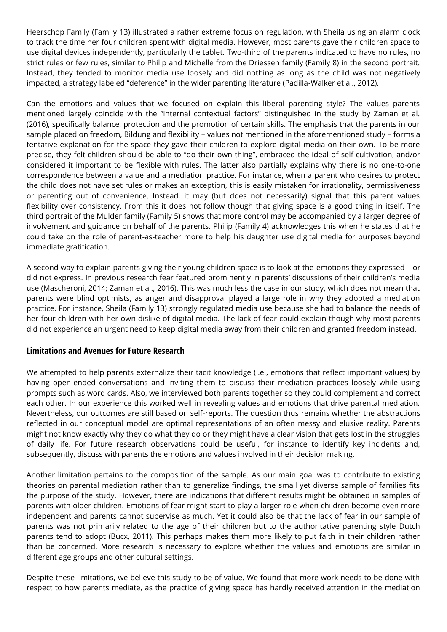Heerschop Family (Family 13) illustrated a rather extreme focus on regulation, with Sheila using an alarm clock to track the time her four children spent with digital media. However, most parents gave their children space to use digital devices independently, particularly the tablet. Two-third of the parents indicated to have no rules, no strict rules or few rules, similar to Philip and Michelle from the Driessen family (Family 8) in the second portrait. Instead, they tended to monitor media use loosely and did nothing as long as the child was not negatively impacted, a strategy labeled "deference" in the wider parenting literature (Padilla-Walker et al., 2012).

Can the emotions and values that we focused on explain this liberal parenting style? The values parents mentioned largely coincide with the "internal contextual factors" distinguished in the study by Zaman et al. (2016), specifically balance, protection and the promotion of certain skills. The emphasis that the parents in our sample placed on freedom, Bildung and flexibility – values not mentioned in the aforementioned study – forms a tentative explanation for the space they gave their children to explore digital media on their own. To be more precise, they felt children should be able to "do their own thing", embraced the ideal of self-cultivation, and/or considered it important to be flexible with rules. The latter also partially explains why there is no one-to-one correspondence between a value and a mediation practice. For instance, when a parent who desires to protect the child does not have set rules or makes an exception, this is easily mistaken for irrationality, permissiveness or parenting out of convenience. Instead, it may (but does not necessarily) signal that this parent values flexibility over consistency. From this it does not follow though that giving space is a good thing in itself. The third portrait of the Mulder family (Family 5) shows that more control may be accompanied by a larger degree of involvement and guidance on behalf of the parents. Philip (Family 4) acknowledges this when he states that he could take on the role of parent-as-teacher more to help his daughter use digital media for purposes beyond immediate gratification.

A second way to explain parents giving their young children space is to look at the emotions they expressed – or did not express. In previous research fear featured prominently in parents' discussions of their children's media use (Mascheroni, 2014; Zaman et al., 2016). This was much less the case in our study, which does not mean that parents were blind optimists, as anger and disapproval played a large role in why they adopted a mediation practice. For instance, Sheila (Family 13) strongly regulated media use because she had to balance the needs of her four children with her own dislike of digital media. The lack of fear could explain though why most parents did not experience an urgent need to keep digital media away from their children and granted freedom instead.

#### **Limitations and Avenues for Future Research**

We attempted to help parents externalize their tacit knowledge (i.e., emotions that reflect important values) by having open-ended conversations and inviting them to discuss their mediation practices loosely while using prompts such as word cards. Also, we interviewed both parents together so they could complement and correct each other. In our experience this worked well in revealing values and emotions that drive parental mediation. Nevertheless, our outcomes are still based on self-reports. The question thus remains whether the abstractions reflected in our conceptual model are optimal representations of an often messy and elusive reality. Parents might not know exactly why they do what they do or they might have a clear vision that gets lost in the struggles of daily life. For future research observations could be useful, for instance to identify key incidents and, subsequently, discuss with parents the emotions and values involved in their decision making.

Another limitation pertains to the composition of the sample. As our main goal was to contribute to existing theories on parental mediation rather than to generalize findings, the small yet diverse sample of families fits the purpose of the study. However, there are indications that different results might be obtained in samples of parents with older children. Emotions of fear might start to play a larger role when children become even more independent and parents cannot supervise as much. Yet it could also be that the lack of fear in our sample of parents was not primarily related to the age of their children but to the authoritative parenting style Dutch parents tend to adopt (Bucx, 2011). This perhaps makes them more likely to put faith in their children rather than be concerned. More research is necessary to explore whether the values and emotions are similar in different age groups and other cultural settings.

Despite these limitations, we believe this study to be of value. We found that more work needs to be done with respect to how parents mediate, as the practice of giving space has hardly received attention in the mediation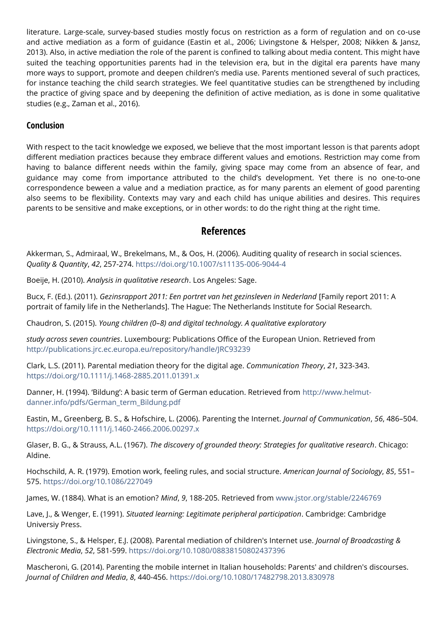literature. Large-scale, survey-based studies mostly focus on restriction as a form of regulation and on co-use and active mediation as a form of guidance (Eastin et al., 2006; Livingstone & Helsper, 2008; Nikken & Jansz, 2013). Also, in active mediation the role of the parent is confined to talking about media content. This might have suited the teaching opportunities parents had in the television era, but in the digital era parents have many more ways to support, promote and deepen children's media use. Parents mentioned several of such practices, for instance teaching the child search strategies. We feel quantitative studies can be strengthened by including the practice of giving space and by deepening the definition of active mediation, as is done in some qualitative studies (e.g., Zaman et al., 2016).

#### **Conclusion**

With respect to the tacit knowledge we exposed, we believe that the most important lesson is that parents adopt different mediation practices because they embrace different values and emotions. Restriction may come from having to balance different needs within the family, giving space may come from an absence of fear, and guidance may come from importance attributed to the child's development. Yet there is no one-to-one correspondence beween a value and a mediation practice, as for many parents an element of good parenting also seems to be flexibility. Contexts may vary and each child has unique abilities and desires. This requires parents to be sensitive and make exceptions, or in other words: to do the right thing at the right time.

## **References**

Akkerman, S., Admiraal, W., Brekelmans, M., & Oos, H. (2006). Auditing quality of research in social sciences. *Quality & Quantity*, *42*, 257-274.<https://doi.org/10.1007/s11135-006-9044-4>

Boeije, H. (2010). *Analysis in qualitative research*. Los Angeles: Sage.

Bucx, F. (Ed.). (2011). *Gezinsrapport 2011: Een portret van het gezinsleven in Nederland* [Family report 2011: A portrait of family life in the Netherlands]. The Hague: The Netherlands Institute for Social Research.

Chaudron, S. (2015). *Young children (0–8) and digital technology. A qualitative exploratory*

*study across seven countries*. Luxembourg: Publications Office of the European Union. Retrieved from <http://publications.jrc.ec.europa.eu/repository/handle/JRC93239>

Clark, L.S. (2011). Parental mediation theory for the digital age. *Communication Theory*, *21*, 323-343. <https://doi.org/10.1111/j.1468-2885.2011.01391.x>

Danner, H. (1994). 'Bildung': A basic term of German education. Retrieved from [http://www.helmut](http://www.helmut-danner.info/pdfs/German_term_Bildung.pdf)[danner.info/pdfs/German\\_term\\_Bildung.pdf](http://www.helmut-danner.info/pdfs/German_term_Bildung.pdf)

Eastin, M., Greenberg, B. S., & Hofschire, L. (2006). Parenting the Internet. *Journal of Communication*, *56*, 486–504. <https://doi.org/10.1111/j.1460-2466.2006.00297.x>

Glaser, B. G., & Strauss, A.L. (1967). *The discovery of grounded theory: Strategies for qualitative research*. Chicago: Aldine.

Hochschild, A. R. (1979). Emotion work, feeling rules, and social structure. *American Journal of Sociology*, *85*, 551– 575. <https://doi.org/10.1086/227049>

James, W. (1884). What is an emotion? *Mind*, *9*, 188-205. Retrieved from [www.jstor.org/stable/2246769](http://www.jstor.org/stable/2246769)

Lave, J., & Wenger, E. (1991). *Situated learning: Legitimate peripheral participation*. Cambridge: Cambridge Universiy Press.

Livingstone, S., & Helsper, E.J. (2008). Parental mediation of children's Internet use. *Journal of Broadcasting & Electronic Media*, *52*, 581-599.<https://doi.org/10.1080/08838150802437396>

Mascheroni, G. (2014). Parenting the mobile internet in Italian households: Parents' and children's discourses. *Journal of Children and Media*, *8*, 440-456.<https://doi.org/10.1080/17482798.2013.830978>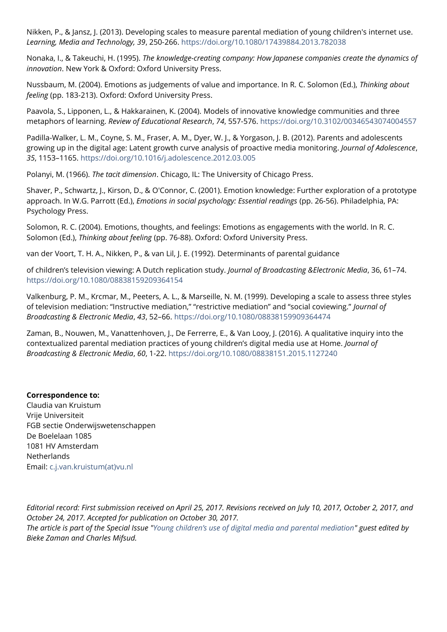Nikken, P., & Jansz, J. (2013). Developing scales to measure parental mediation of young children's internet use. *Learning, Media and Technology, 39*, 250-266.<https://doi.org/10.1080/17439884.2013.782038>

Nonaka, I., & Takeuchi, H. (1995). *The knowledge-creating company: How Japanese companies create the dynamics of innovation*. New York & Oxford: Oxford University Press.

Nussbaum, M. (2004). Emotions as judgements of value and importance. In R. C. Solomon (Ed.), *Thinking about feeling* (pp. 183-213). Oxford: Oxford University Press.

Paavola, S., Lipponen, L., & Hakkarainen, K. (2004). Models of innovative knowledge communities and three metaphors of learning. *Review of Educational Research*, *74*, 557-576[. https://doi.org/10.3102/00346543074004557](https://doi.org/10.3102/00346543074004557)

Padilla-Walker, L. M., Coyne, S. M., Fraser, A. M., Dyer, W. J., & Yorgason, J. B. (2012). Parents and adolescents growing up in the digital age: Latent growth curve analysis of proactive media monitoring. *Journal of Adolescence*, *35*, 1153–1165. <https://doi.org/10.1016/j.adolescence.2012.03.005>

Polanyi, M. (1966). *The tacit dimension*. Chicago, IL: The University of Chicago Press.

Shaver, P., Schwartz, J., Kirson, D., & O'Connor, C. (2001). Emotion knowledge: Further exploration of a prototype approach. In W.G. Parrott (Ed.), *Emotions in social psychology: Essential readings* (pp. 26-56). Philadelphia, PA: Psychology Press.

Solomon, R. C. (2004). Emotions, thoughts, and feelings: Emotions as engagements with the world. In R. C. Solomon (Ed.), *Thinking about feeling* (pp. 76-88). Oxford: Oxford University Press.

van der Voort, T. H. A., Nikken, P., & van Lil, J. E. (1992). Determinants of parental guidance

of children's television viewing: A Dutch replication study. *Journal of Broadcasting &Electronic Media*, 36, 61–74. <https://doi.org/10.1080/08838159209364154>

Valkenburg, P. M., Krcmar, M., Peeters, A. L., & Marseille, N. M. (1999). Developing a scale to assess three styles of television mediation: "Instructive mediation," "restrictive mediation" and "social coviewing." *Journal of Broadcasting & Electronic Media*, *43*, 52–66. [https://doi.org/10.1080/08838159909364474](http://dx.doi.org/10.1080/08838159909364474)

Zaman, B., Nouwen, M., Vanattenhoven, J., De Ferrerre, E., & Van Looy, J. (2016). A qualitative inquiry into the contextualized parental mediation practices of young children's digital media use at Home. *Journal of Broadcasting & Electronic Media*, *60*, 1-22.<https://doi.org/10.1080/08838151.2015.1127240>

#### **Correspondence to:**

Claudia van Kruistum Vrije Universiteit FGB sectie Onderwijswetenschappen De Boelelaan 1085 1081 HV Amsterdam **Netherlands** Email: [c.j.van.kruistum\(at\)vu.nl](mailto:c.j.van.kruistum@vu.nl)

*Editorial record: First submission received on April 25, 2017. Revisions received on July 10, 2017, October 2, 2017, and October 24, 2017. Accepted for publication on October 30, 2017. The article is part of the Special Issue "Young children's use of [digital media and parental mediation"](https://cyberpsychology.eu/issue/view/658) guest edited by Bieke Zaman and Charles Mifsud.*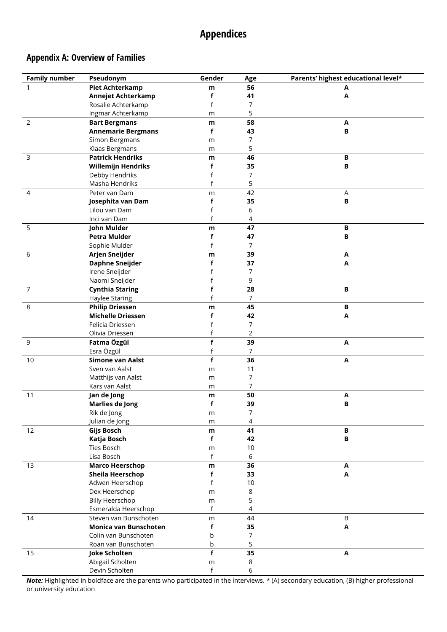# **Appendices**

## **Appendix A: Overview of Families**

| <b>Family number</b> | Pseudonym                 | Gender       | Age            | Parents' highest educational level* |
|----------------------|---------------------------|--------------|----------------|-------------------------------------|
| 1                    | <b>Piet Achterkamp</b>    | m            | 56             | Α                                   |
|                      | <b>Annejet Achterkamp</b> | f            | 41             | Α                                   |
|                      | Rosalie Achterkamp        | f            | 7              |                                     |
|                      | Ingmar Achterkamp         | m            | 5              |                                     |
| $\overline{2}$       | <b>Bart Bergmans</b>      | m            | 58             | Α                                   |
|                      | <b>Annemarie Bergmans</b> | f            | 43             | B                                   |
|                      | Simon Bergmans            | m            | 7              |                                     |
|                      | Klaas Bergmans            | m            | 5              |                                     |
| $\mathsf{3}$         | <b>Patrick Hendriks</b>   | m            | 46             | B                                   |
|                      | <b>Willemijn Hendriks</b> | f            | 35             | $\, {\bf B}$                        |
|                      | Debby Hendriks            | f            | 7              |                                     |
|                      | Masha Hendriks            | f            | 5              |                                     |
| 4                    | Peter van Dam             | m            | 42             | Α                                   |
|                      | Josephita van Dam         | f            | 35             | $\, {\bf B}$                        |
|                      | Lilou van Dam             | f            | 6              |                                     |
|                      | Inci van Dam              | f            | 4              |                                     |
| 5                    | John Mulder               | m            | 47             | $\, {\bf B}$                        |
|                      | <b>Petra Mulder</b>       | f            | 47             | B                                   |
|                      | Sophie Mulder             | f            | 7              |                                     |
| 6                    | Arjen Sneijder            | m            | 39             | Α                                   |
|                      | <b>Daphne Sneijder</b>    | f            | 37             | Α                                   |
|                      | Irene Sneijder            |              | 7              |                                     |
|                      | Naomi Sneijder            |              | 9              |                                     |
| $\overline{7}$       | <b>Cynthia Staring</b>    | f            | 28             | $\, {\bf B}$                        |
|                      | Haylee Staring            | f            | $\overline{7}$ |                                     |
| 8                    | <b>Philip Driessen</b>    | m            | 45             | B                                   |
|                      | <b>Michelle Driessen</b>  | f            | 42             | A                                   |
|                      | Felicia Driessen          | f            | 7              |                                     |
|                      | Olivia Driessen           | f            | $\overline{2}$ |                                     |
| 9                    | Fatma Özgül               | f            | 39             | A                                   |
|                      | Esra Özgül                | f            | $\overline{7}$ |                                     |
| 10                   | Simone van Aalst          | f            | 36             | A                                   |
|                      | Sven van Aalst            | m            | 11             |                                     |
|                      | Matthijs van Aalst        | m            | 7              |                                     |
|                      | Kars van Aalst            | m            | 7              |                                     |
| 11                   | Jan de Jong               | m            | 50             | A                                   |
|                      | <b>Marlies de Jong</b>    | f            | 39             | B                                   |
|                      | Rik de Jong               | m            | $\overline{7}$ |                                     |
|                      | Julian de Jong            | m            | 4              |                                     |
| 12                   | Gijs Bosch                | m            | 41             | $\, {\bf B}$                        |
|                      | Katja Bosch               | f            | 42             | B                                   |
|                      | <b>Ties Bosch</b>         | m            | $10$           |                                     |
|                      | Lisa Bosch                | $\mathsf{f}$ | 6              |                                     |
| 13                   | <b>Marco Heerschop</b>    | m            | 36             | Α                                   |
|                      | <b>Sheila Heerschop</b>   | f            | 33             | Α                                   |
|                      | Adwen Heerschop           | f            | 10             |                                     |
|                      | Dex Heerschop             | m            | 8              |                                     |
|                      | <b>Billy Heerschop</b>    | m            | 5              |                                     |
|                      | Esmeralda Heerschop       | $\mathsf{f}$ | 4              |                                     |
| 14                   | Steven van Bunschoten     | m            | 44             | $\sf B$                             |
|                      | Monica van Bunschoten     | f            | 35             | $\pmb{\mathsf{A}}$                  |
|                      | Colin van Bunschoten      | b            | 7              |                                     |
|                      | Roan van Bunschoten       | b            | 5              |                                     |
| 15                   | Joke Scholten             | f            | 35             | A                                   |
|                      | Abigail Scholten          | m            | 8              |                                     |
|                      | Devin Scholten            | $\sf f$      | 6              |                                     |

*Note:* Highlighted in boldface are the parents who participated in the interviews. \* (A) secondary education, (B) higher professional or university education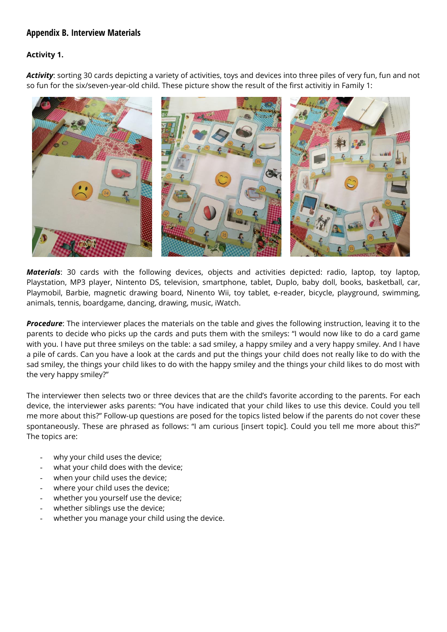## **Appendix B. Interview Materials**

#### **Activity 1.**

*Activity*: sorting 30 cards depicting a variety of activities, toys and devices into three piles of very fun, fun and not so fun for the six/seven-year-old child. These picture show the result of the first activitiy in Family 1:



*Materials*: 30 cards with the following devices, objects and activities depicted: radio, laptop, toy laptop, Playstation, MP3 player, Nintento DS, television, smartphone, tablet, Duplo, baby doll, books, basketball, car, Playmobil, Barbie, magnetic drawing board, Ninento Wii, toy tablet, e-reader, bicycle, playground, swimming, animals, tennis, boardgame, dancing, drawing, music, iWatch.

*Procedure*: The interviewer places the materials on the table and gives the following instruction, leaving it to the parents to decide who picks up the cards and puts them with the smileys: "I would now like to do a card game with you. I have put three smileys on the table: a sad smiley, a happy smiley and a very happy smiley. And I have a pile of cards. Can you have a look at the cards and put the things your child does not really like to do with the sad smiley, the things your child likes to do with the happy smiley and the things your child likes to do most with the very happy smiley?"

The interviewer then selects two or three devices that are the child's favorite according to the parents. For each device, the interviewer asks parents: "You have indicated that your child likes to use this device. Could you tell me more about this?" Follow-up questions are posed for the topics listed below if the parents do not cover these spontaneously. These are phrased as follows: "I am curious [insert topic]. Could you tell me more about this?" The topics are:

- why your child uses the device;
- what your child does with the device;
- when your child uses the device;
- where your child uses the device;
- whether you yourself use the device;
- whether siblings use the device;
- whether you manage your child using the device.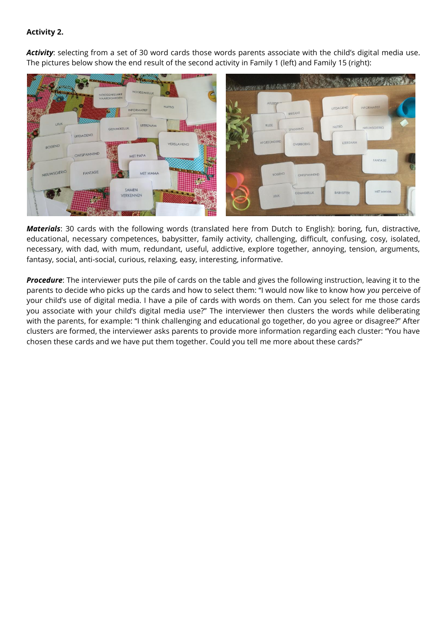#### **Activity 2.**

*Activity*: selecting from a set of 30 word cards those words parents associate with the child's digital media use. The pictures below show the end result of the second activity in Family 1 (left) and Family 15 (right):



*Materials*: 30 cards with the following words (translated here from Dutch to English): boring, fun, distractive, educational, necessary competences, babysitter, family activity, challenging, difficult, confusing, cosy, isolated, necessary, with dad, with mum, redundant, useful, addictive, explore together, annoying, tension, arguments, fantasy, social, anti-social, curious, relaxing, easy, interesting, informative.

*Procedure*: The interviewer puts the pile of cards on the table and gives the following instruction, leaving it to the parents to decide who picks up the cards and how to select them: "I would now like to know how *you* perceive of your child's use of digital media. I have a pile of cards with words on them. Can you select for me those cards you associate with your child's digital media use?" The interviewer then clusters the words while deliberating with the parents, for example: "I think challenging and educational go together, do you agree or disagree?" After clusters are formed, the interviewer asks parents to provide more information regarding each cluster: "You have chosen these cards and we have put them together. Could you tell me more about these cards?"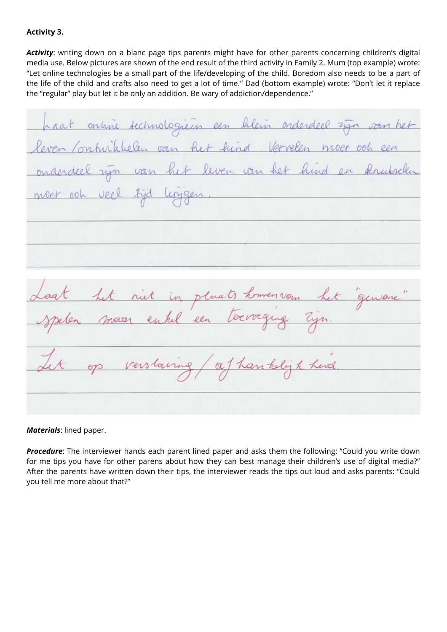#### **Activity 3.**

*Activity*: writing down on a blanc page tips parents might have for other parents concerning children's digital media use. Below pictures are shown of the end result of the third activity in Family 2. Mum (top example) wrote: "Let online technologies be a small part of the life/developing of the child. Boredom also needs to be a part of the life of the child and crafts also need to get a lot of time." Dad (bottom example) wrote: "Don't let it replace the "regular" play but let it be only an addition. Be wary of addiction/dependence."

haat online technologieen een bileun onderdeel zijn van het leven Contribulelen van het hind. Vervelen moet ook een onderdeel ryn van het leven van het hind en kruiselen moet ook veel tijd linggen niet in plaats homen vom gensone maar enkel een toevoeging Zijn. op verslaving / af han kelijk herd

*Materials*: lined paper.

*Procedure*: The interviewer hands each parent lined paper and asks them the following: "Could you write down for me tips you have for other parens about how they can best manage their children's use of digital media?" After the parents have written down their tips, the interviewer reads the tips out loud and asks parents: "Could you tell me more about that?"